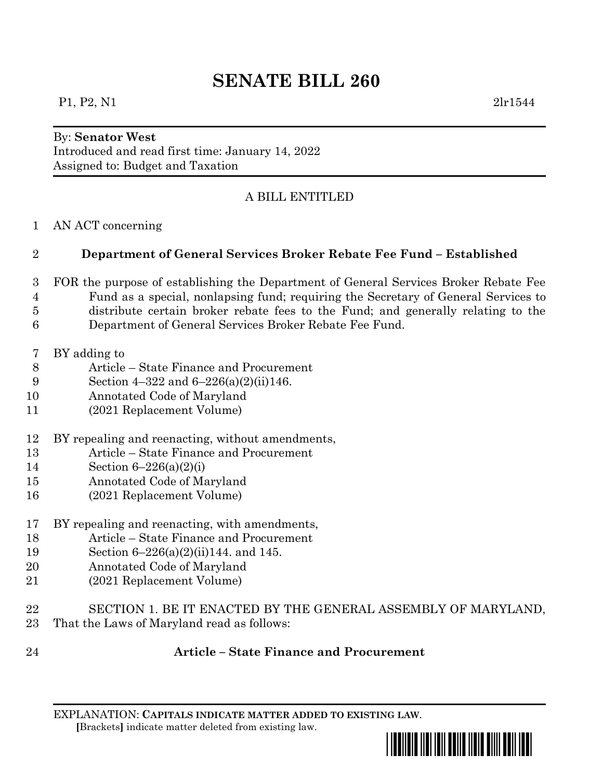# **SENATE BILL 260**

#### P1, P2, N1 2lr1544

#### By: **Senator West**

Introduced and read first time: January 14, 2022 Assigned to: Budget and Taxation

## A BILL ENTITLED

AN ACT concerning

## **Department of General Services Broker Rebate Fee Fund – Established**

- FOR the purpose of establishing the Department of General Services Broker Rebate Fee Fund as a special, nonlapsing fund; requiring the Secretary of General Services to distribute certain broker rebate fees to the Fund; and generally relating to the Department of General Services Broker Rebate Fee Fund.
- BY adding to
- Article State Finance and Procurement
- Section 4–322 and 6–226(a)(2)(ii)146.
- Annotated Code of Maryland
- (2021 Replacement Volume)
- BY repealing and reenacting, without amendments,
- Article State Finance and Procurement
- Section 6–226(a)(2)(i)
- Annotated Code of Maryland
- (2021 Replacement Volume)
- BY repealing and reenacting, with amendments,
- Article State Finance and Procurement
- Section 6–226(a)(2)(ii)144. and 145.
- Annotated Code of Maryland
- (2021 Replacement Volume)
- SECTION 1. BE IT ENACTED BY THE GENERAL ASSEMBLY OF MARYLAND,
- That the Laws of Maryland read as follows:
- 

#### **Article – State Finance and Procurement**

EXPLANATION: **CAPITALS INDICATE MATTER ADDED TO EXISTING LAW**.  **[**Brackets**]** indicate matter deleted from existing law.

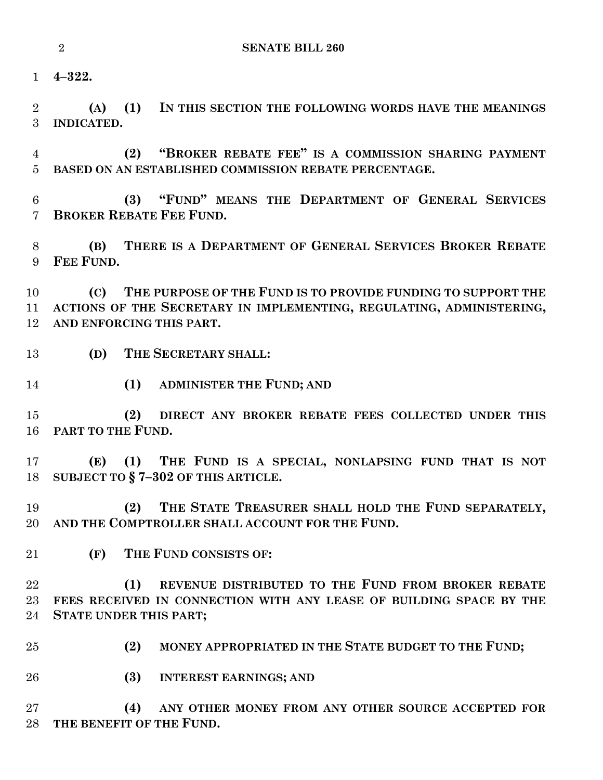**4–322.**

 **(A) (1) IN THIS SECTION THE FOLLOWING WORDS HAVE THE MEANINGS INDICATED.**

 **(2) "BROKER REBATE FEE" IS A COMMISSION SHARING PAYMENT BASED ON AN ESTABLISHED COMMISSION REBATE PERCENTAGE.**

 **(3) "FUND" MEANS THE DEPARTMENT OF GENERAL SERVICES BROKER REBATE FEE FUND.**

 **(B) THERE IS A DEPARTMENT OF GENERAL SERVICES BROKER REBATE FEE FUND.**

 **(C) THE PURPOSE OF THE FUND IS TO PROVIDE FUNDING TO SUPPORT THE ACTIONS OF THE SECRETARY IN IMPLEMENTING, REGULATING, ADMINISTERING, AND ENFORCING THIS PART.**

- **(D) THE SECRETARY SHALL:**
- **(1) ADMINISTER THE FUND; AND**

 **(2) DIRECT ANY BROKER REBATE FEES COLLECTED UNDER THIS PART TO THE FUND.**

 **(E) (1) THE FUND IS A SPECIAL, NONLAPSING FUND THAT IS NOT SUBJECT TO § 7–302 OF THIS ARTICLE.**

 **(2) THE STATE TREASURER SHALL HOLD THE FUND SEPARATELY, AND THE COMPTROLLER SHALL ACCOUNT FOR THE FUND.**

**(F) THE FUND CONSISTS OF:**

 **(1) REVENUE DISTRIBUTED TO THE FUND FROM BROKER REBATE FEES RECEIVED IN CONNECTION WITH ANY LEASE OF BUILDING SPACE BY THE STATE UNDER THIS PART;**

- **(2) MONEY APPROPRIATED IN THE STATE BUDGET TO THE FUND;**
- **(3) INTEREST EARNINGS; AND**

 **(4) ANY OTHER MONEY FROM ANY OTHER SOURCE ACCEPTED FOR THE BENEFIT OF THE FUND.**